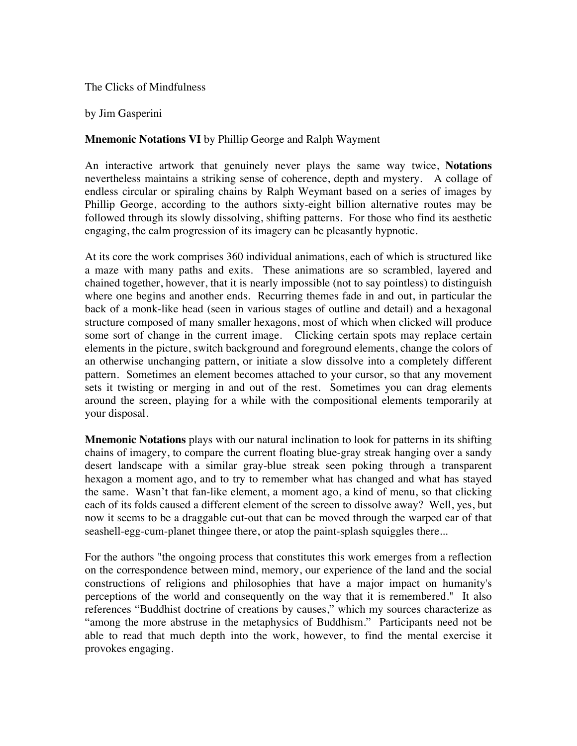## The Clicks of Mindfulness

## by Jim Gasperini

## **Mnemonic Notations VI** by Phillip George and Ralph Wayment

An interactive artwork that genuinely never plays the same way twice, **Notations** nevertheless maintains a striking sense of coherence, depth and mystery. A collage of endless circular or spiraling chains by Ralph Weymant based on a series of images by Phillip George, according to the authors sixty-eight billion alternative routes may be followed through its slowly dissolving, shifting patterns. For those who find its aesthetic engaging, the calm progression of its imagery can be pleasantly hypnotic.

At its core the work comprises 360 individual animations, each of which is structured like a maze with many paths and exits. These animations are so scrambled, layered and chained together, however, that it is nearly impossible (not to say pointless) to distinguish where one begins and another ends. Recurring themes fade in and out, in particular the back of a monk-like head (seen in various stages of outline and detail) and a hexagonal structure composed of many smaller hexagons, most of which when clicked will produce some sort of change in the current image. Clicking certain spots may replace certain elements in the picture, switch background and foreground elements, change the colors of an otherwise unchanging pattern, or initiate a slow dissolve into a completely different pattern. Sometimes an element becomes attached to your cursor, so that any movement sets it twisting or merging in and out of the rest. Sometimes you can drag elements around the screen, playing for a while with the compositional elements temporarily at your disposal.

**Mnemonic Notations** plays with our natural inclination to look for patterns in its shifting chains of imagery, to compare the current floating blue-gray streak hanging over a sandy desert landscape with a similar gray-blue streak seen poking through a transparent hexagon a moment ago, and to try to remember what has changed and what has stayed the same. Wasn't that fan-like element, a moment ago, a kind of menu, so that clicking each of its folds caused a different element of the screen to dissolve away? Well, yes, but now it seems to be a draggable cut-out that can be moved through the warped ear of that seashell-egg-cum-planet thingee there, or atop the paint-splash squiggles there...

For the authors "the ongoing process that constitutes this work emerges from a reflection on the correspondence between mind, memory, our experience of the land and the social constructions of religions and philosophies that have a major impact on humanity's perceptions of the world and consequently on the way that it is remembered." It also references "Buddhist doctrine of creations by causes," which my sources characterize as "among the more abstruse in the metaphysics of Buddhism." Participants need not be able to read that much depth into the work, however, to find the mental exercise it provokes engaging.